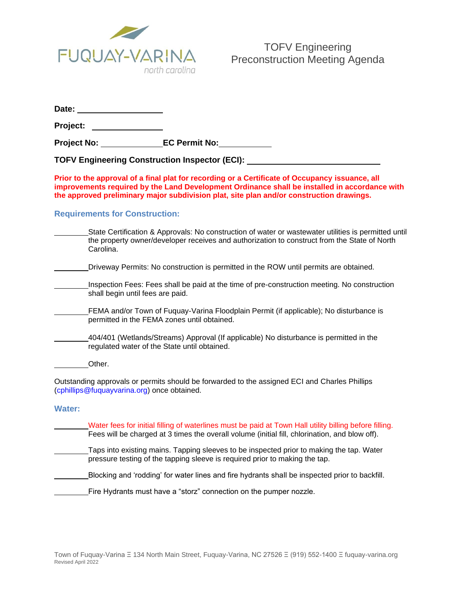

|--|

**Project:** 

**Project No: EC Permit No:**

**TOFV Engineering Construction Inspector (ECI):**

**Prior to the approval of a final plat for recording or a Certificate of Occupancy issuance, all improvements required by the Land Development Ordinance shall be installed in accordance with the approved preliminary major subdivision plat, site plan and/or construction drawings.**

## **Requirements for Construction:**

|                                                                                                                                              | State Certification & Approvals: No construction of water or wastewater utilities is permitted until<br>the property owner/developer receives and authorization to construct from the State of North<br>Carolina. |
|----------------------------------------------------------------------------------------------------------------------------------------------|-------------------------------------------------------------------------------------------------------------------------------------------------------------------------------------------------------------------|
|                                                                                                                                              | Driveway Permits: No construction is permitted in the ROW until permits are obtained.                                                                                                                             |
|                                                                                                                                              | Inspection Fees: Fees shall be paid at the time of pre-construction meeting. No construction<br>shall begin until fees are paid.                                                                                  |
|                                                                                                                                              | FEMA and/or Town of Fuquay-Varina Floodplain Permit (if applicable); No disturbance is<br>permitted in the FEMA zones until obtained.                                                                             |
|                                                                                                                                              | 404/401 (Wetlands/Streams) Approval (If applicable) No disturbance is permitted in the<br>regulated water of the State until obtained.                                                                            |
|                                                                                                                                              | Other.                                                                                                                                                                                                            |
| Outstanding approvals or permits should be forwarded to the assigned ECI and Charles Phillips<br>(cphillips@fuquayvarina.org) once obtained. |                                                                                                                                                                                                                   |
| <b>Water:</b>                                                                                                                                |                                                                                                                                                                                                                   |
|                                                                                                                                              | Water fees for initial filling of waterlines must be paid at Town Hall utility billing before filling.<br>Fees will be charged at 3 times the overall volume (initial fill, chlorination, and blow off).          |
|                                                                                                                                              | Taps into existing mains. Tapping sleeves to be inspected prior to making the tap. Water<br>pressure testing of the tapping sleeve is required prior to making the tap.                                           |
|                                                                                                                                              | Blocking and 'rodding' for water lines and fire hydrants shall be inspected prior to backfill.                                                                                                                    |

Fire Hydrants must have a "storz" connection on the pumper nozzle.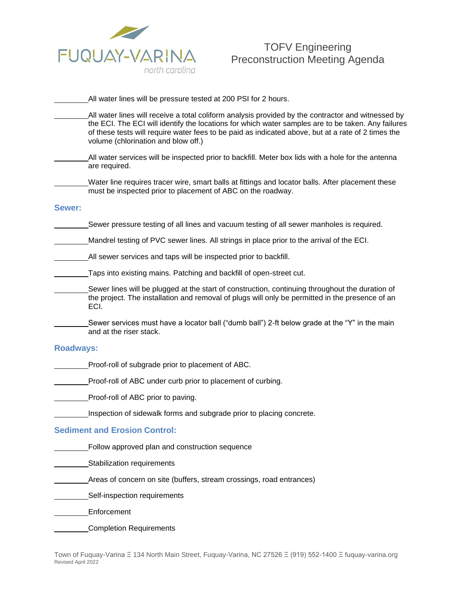

# TOFV Engineering Preconstruction Meeting Agenda

|                                      | All water lines will be pressure tested at 200 PSI for 2 hours.                                                                                                                                                                                                                                                                                       |  |
|--------------------------------------|-------------------------------------------------------------------------------------------------------------------------------------------------------------------------------------------------------------------------------------------------------------------------------------------------------------------------------------------------------|--|
|                                      | All water lines will receive a total coliform analysis provided by the contractor and witnessed by<br>the ECI. The ECI will identify the locations for which water samples are to be taken. Any failures<br>of these tests will require water fees to be paid as indicated above, but at a rate of 2 times the<br>volume (chlorination and blow off.) |  |
|                                      | All water services will be inspected prior to backfill. Meter box lids with a hole for the antenna<br>are required.                                                                                                                                                                                                                                   |  |
|                                      | Water line requires tracer wire, smart balls at fittings and locator balls. After placement these<br>must be inspected prior to placement of ABC on the roadway.                                                                                                                                                                                      |  |
| Sewer:                               |                                                                                                                                                                                                                                                                                                                                                       |  |
|                                      | Sewer pressure testing of all lines and vacuum testing of all sewer manholes is required.                                                                                                                                                                                                                                                             |  |
|                                      | Mandrel testing of PVC sewer lines. All strings in place prior to the arrival of the ECI.                                                                                                                                                                                                                                                             |  |
|                                      | All sewer services and taps will be inspected prior to backfill.                                                                                                                                                                                                                                                                                      |  |
|                                      | Taps into existing mains. Patching and backfill of open-street cut.                                                                                                                                                                                                                                                                                   |  |
|                                      | Sewer lines will be plugged at the start of construction, continuing throughout the duration of<br>the project. The installation and removal of plugs will only be permitted in the presence of an<br>ECI.                                                                                                                                            |  |
|                                      | Sewer services must have a locator ball ("dumb ball") 2-ft below grade at the "Y" in the main<br>and at the riser stack.                                                                                                                                                                                                                              |  |
| <b>Roadways:</b>                     |                                                                                                                                                                                                                                                                                                                                                       |  |
|                                      | Proof-roll of subgrade prior to placement of ABC.                                                                                                                                                                                                                                                                                                     |  |
|                                      | Proof-roll of ABC under curb prior to placement of curbing.                                                                                                                                                                                                                                                                                           |  |
|                                      | Proof-roll of ABC prior to paving.                                                                                                                                                                                                                                                                                                                    |  |
|                                      | Inspection of sidewalk forms and subgrade prior to placing concrete.                                                                                                                                                                                                                                                                                  |  |
| <b>Sediment and Erosion Control:</b> |                                                                                                                                                                                                                                                                                                                                                       |  |
|                                      | Follow approved plan and construction sequence                                                                                                                                                                                                                                                                                                        |  |

- Stabilization requirements
- Areas of concern on site (buffers, stream crossings, road entrances)
- Self-inspection requirements
- Enforcement
- Completion Requirements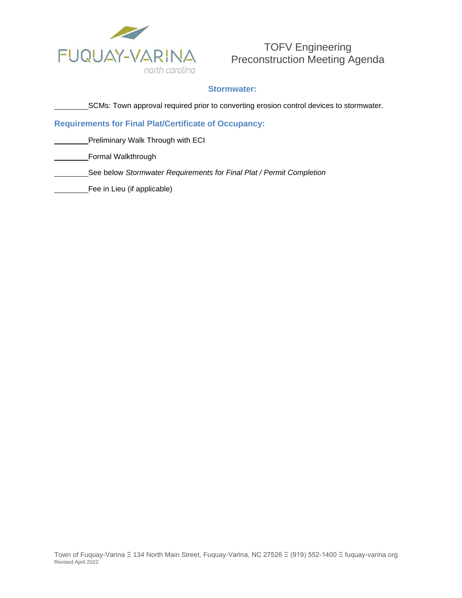

TOFV Engineering Preconstruction Meeting Agenda

## **Stormwater:**

SCMs: Town approval required prior to converting erosion control devices to stormwater.

### **Requirements for Final Plat/Certificate of Occupancy:**

Preliminary Walk Through with ECI

Formal Walkthrough

- See below *Stormwater Requirements for Final Plat / Permit Completion*
- Fee in Lieu (if applicable)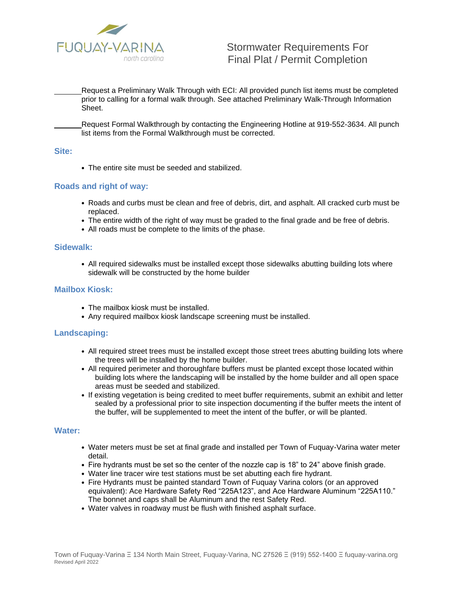

Request a Preliminary Walk Through with ECI: All provided punch list items must be completed prior to calling for a formal walk through. See attached Preliminary Walk-Through Information Sheet.

Request Formal Walkthrough by contacting the Engineering Hotline at 919-552-3634. All punch list items from the Formal Walkthrough must be corrected.

#### **Site:**

• The entire site must be seeded and stabilized.

### **Roads and right of way:**

- Roads and curbs must be clean and free of debris, dirt, and asphalt. All cracked curb must be replaced.
- The entire width of the right of way must be graded to the final grade and be free of debris.
- All roads must be complete to the limits of the phase.

#### **Sidewalk:**

• All required sidewalks must be installed except those sidewalks abutting building lots where sidewalk will be constructed by the home builder

#### **Mailbox Kiosk:**

- The mailbox kiosk must be installed.
- Any required mailbox kiosk landscape screening must be installed.

#### **Landscaping:**

- All required street trees must be installed except those street trees abutting building lots where the trees will be installed by the home builder.
- All required perimeter and thoroughfare buffers must be planted except those located within building lots where the landscaping will be installed by the home builder and all open space areas must be seeded and stabilized.
- If existing vegetation is being credited to meet buffer requirements, submit an exhibit and letter sealed by a professional prior to site inspection documenting if the buffer meets the intent of the buffer, will be supplemented to meet the intent of the buffer, or will be planted.

#### **Water:**

- Water meters must be set at final grade and installed per Town of Fuquay-Varina water meter detail.
- Fire hydrants must be set so the center of the nozzle cap is 18" to 24" above finish grade.
- Water line tracer wire test stations must be set abutting each fire hydrant.
- Fire Hydrants must be painted standard Town of Fuquay Varina colors (or an approved equivalent): Ace Hardware Safety Red "225A123", and Ace Hardware Aluminum "225A110." The bonnet and caps shall be Aluminum and the rest Safety Red.
- Water valves in roadway must be flush with finished asphalt surface.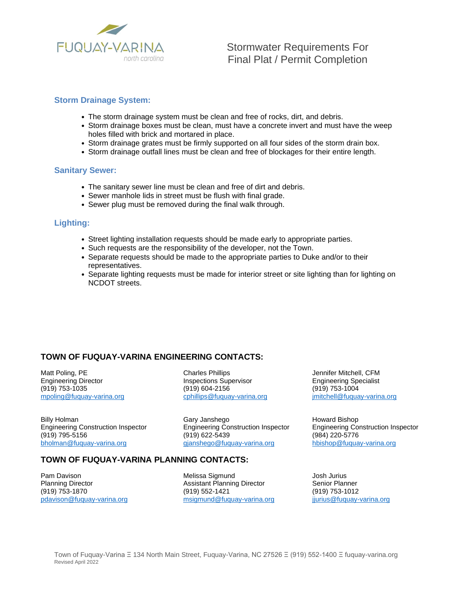

### **Storm Drainage System:**

- The storm drainage system must be clean and free of rocks, dirt, and debris.
- Storm drainage boxes must be clean, must have a concrete invert and must have the weep holes filled with brick and mortared in place.
- Storm drainage grates must be firmly supported on all four sides of the storm drain box.
- Storm drainage outfall lines must be clean and free of blockages for their entire length.

### **Sanitary Sewer:**

- The sanitary sewer line must be clean and free of dirt and debris.
- Sewer manhole lids in street must be flush with final grade.
- Sewer plug must be removed during the final walk through.

### **Lighting:**

- Street lighting installation requests should be made early to appropriate parties.
- Such requests are the responsibility of the developer, not the Town.
- Separate requests should be made to the appropriate parties to Duke and/or to their representatives.
- Separate lighting requests must be made for interior street or site lighting than for lighting on NCDOT streets.

## **TOWN OF FUQUAY-VARINA ENGINEERING CONTACTS:**

Matt Poling, PE Charles Phillips Charles Phillips Jennifer Mitchell, CFM Engineering Director **Inspections Supervisor Inspections Supervisor** Engineering Specialist (919) 753-1035 (919) 604-2156 (919) 753-1004

(919) 795-5156

Billy Holman Gary Janshego Billy Holman Howard Bishop<br>
Engineering Construction Inspector Engineering Construction Inspector Engineering Construction Inspector Engineering Construction Inspector Engineering Construction Inspector Engineering Construction Inspector (984) [bholman@fuquay-varina.org](mailto:rnesary@fuquay-varina.org) [gjanshego@fuquay-varina.org](mailto:gjanshego@fuquay-varina.org) [hbishop@fuquay-varina.org](mailto:hbishop@fuquay-varina.org)

[mpoling@fuquay-varina.org](mailto:mpoling@fuquay-varina.org) [cphillips@fuquay-varina.org](mailto:cphillips@fuquay-varina.org) imitchell@fuquay-varina.org

## **TOWN OF FUQUAY-VARINA PLANNING CONTACTS:**

Pam Davison **Melissa Sigmund** Director and Director and Director and Director Channing Director **Channism** Planner<br>
Assistant Planning Director **Channism** Assistant Planning Director **Channism** Senior Planner

Assistant Planning Director (919) 753-1870 (919) 552-1421 (919) 753-1012 [pdavison@fuquay-varina.org](mailto:pdavison@fuquay-varina.org) [msigmund@fuquay-varina.org](mailto:msigmund@fuquay-varina.org) [jjurius@fuquay-varina.org](mailto:jjurius@fuquay-varina.org)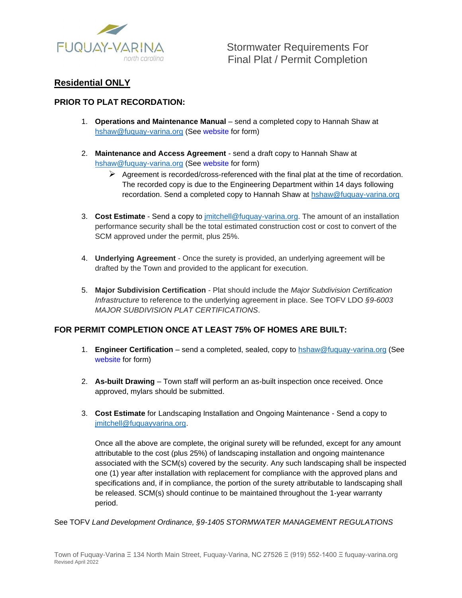

# **Residential ONLY**

# **PRIOR TO PLAT RECORDATION:**

- 1. **Operations and Maintenance Manual**  send a completed copy to Hannah Shaw at [hshaw@fuquay-varina.org](mailto:hshaw@fuquay-varina.org) (See website for form)
- 2. **Maintenance and Access Agreement**  send a draft copy to Hannah Shaw at [hshaw@fuquay-varina.org](mailto:hshaw@fuquay-varina.org) (See website for form)
	- $\triangleright$  Agreement is recorded/cross-referenced with the final plat at the time of recordation. The recorded copy is due to the Engineering Department within 14 days following recordation. Send a completed copy to Hannah Shaw at [hshaw@fuquay-varina.org](mailto:hshaw@fuquay-varina.org)
- 3. **Cost Estimate**  Send a copy to jmitchell@fuquay-varina.org. The amount of an installation performance security shall be the total estimated construction cost or cost to convert of the SCM approved under the permit, plus 25%.
- 4. **Underlying Agreement**  Once the surety is provided, an underlying agreement will be drafted by the Town and provided to the applicant for execution.
- 5. **Major Subdivision Certification**  Plat should include the *Major Subdivision Certification Infrastructure* to reference to the underlying agreement in place. See TOFV LDO *§9-6003 MAJOR SUBDIVISION PLAT CERTIFICATIONS*.

## **FOR PERMIT COMPLETION ONCE AT LEAST 75% OF HOMES ARE BUILT:**

- 1. **Engineer Certification**  send a completed, sealed, copy to [hshaw@fuquay-varina.org](mailto:hshaw@fuquay-varina.org) (See website for form)
- 2. **As-built Drawing**  Town staff will perform an as-built inspection once received. Once approved, mylars should be submitted.
- 3. **Cost Estimate** for Landscaping Installation and Ongoing Maintenance Send a copy to [jmitchell@fuquayvarina.org.](mailto:jmitchell@fuquayvarina.org)

Once all the above are complete, the original surety will be refunded, except for any amount attributable to the cost (plus 25%) of landscaping installation and ongoing maintenance associated with the SCM(s) covered by the security. Any such landscaping shall be inspected one (1) year after installation with replacement for compliance with the approved plans and specifications and, if in compliance, the portion of the surety attributable to landscaping shall be released. SCM(s) should continue to be maintained throughout the 1-year warranty period.

See TOFV *Land Development Ordinance, §9-1405 STORMWATER MANAGEMENT REGULATIONS*